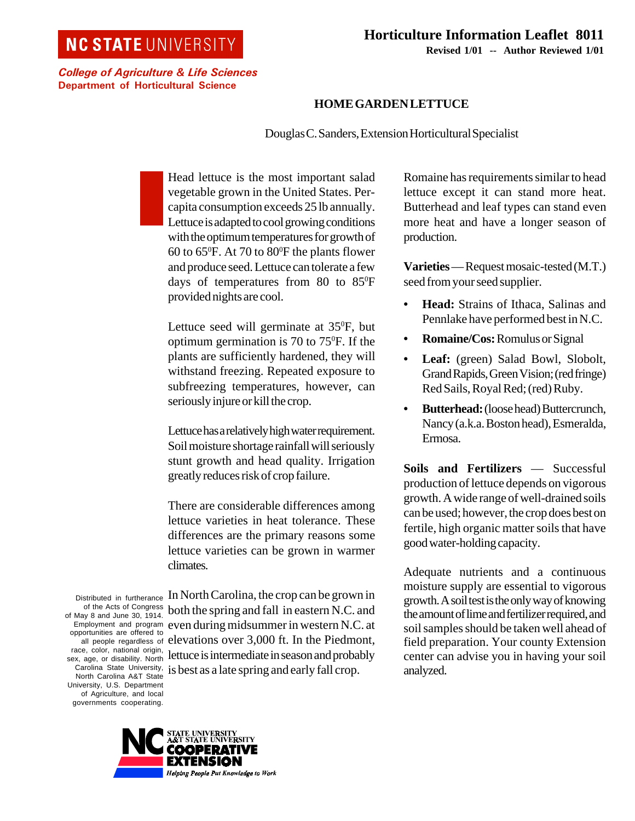## **NC STATE UNIVERSITY**

**Revised 1/01 -- Author Reviewed 1/01**

College of Agriculture & Life Sciences Department of Horticultural Science

## **HOME GARDEN LETTUCE**

Douglas C. Sanders, Extension Horticultural Specialist

Head lettuce is the most important salad vegetable grown in the United States. Percapita consumption exceeds 25 lb annually. Lettuce is adapted to cool growing conditions with the optimum temperatures for growth of 60 to 65<sup>°</sup>F. At 70 to 80<sup>°</sup>F the plants flower and produce seed. Lettuce can tolerate a few days of temperatures from 80 to 85°F provided nights are cool.

Lettuce seed will germinate at  $35^{\circ}F$ , but optimum germination is 70 to 75<sup>o</sup>F. If the plants are sufficiently hardened, they will withstand freezing. Repeated exposure to subfreezing temperatures, however, can seriously injure or kill the crop.

Lettuce has a relatively high water requirement. Soil moisture shortage rainfall will seriously stunt growth and head quality. Irrigation greatly reduces risk of crop failure.

There are considerable differences among lettuce varieties in heat tolerance. These differences are the primary reasons some lettuce varieties can be grown in warmer climates.

Distributed in furtherance of the Acts of Congress of May 8 and June 30, 1914. Employment and program opportunities are offered to all people regardless of race, color, national origin, sex, age, or disability. North Carolina State University, North Carolina A&T State University, U.S. Department of Agriculture, and local governments cooperating.

In North Carolina, the crop can be grown in both the spring and fall in eastern N.C. and even during midsummer in western N.C. at elevations over 3,000 ft. In the Piedmont, lettuce is intermediate in season and probably is best as a late spring and early fall crop.



**Varieties** — Request mosaic-tested (M.T.) seed from your seed supplier.

- **Head:** Strains of Ithaca, Salinas and Pennlake have performed best in N.C.
- **Romaine/Cos:** Romulus or Signal
- **Leaf:** (green) Salad Bowl, Slobolt, Grand Rapids, Green Vision; (red fringe) Red Sails, Royal Red; (red) Ruby.
- **Butterhead:** (loose head) Buttercrunch, Nancy (a.k.a. Boston head), Esmeralda, Ermosa.

**Soils and Fertilizers** — Successful production of lettuce depends on vigorous growth. A wide range of well-drained soils can be used; however, the crop does best on fertile, high organic matter soils that have good water-holding capacity.

Adequate nutrients and a continuous moisture supply are essential to vigorous growth. A soil test is the only way of knowing the amount of lime and fertilizer required, and soil samples should be taken well ahead of field preparation. Your county Extension center can advise you in having your soil analyzed.